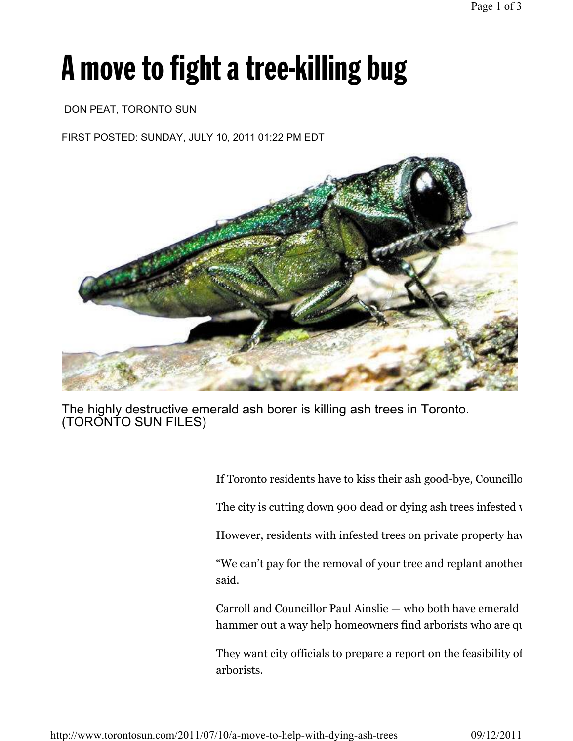# A move to fight a tree-killing bug

#### DON PEAT, TORONTO SUN

FIRST POSTED: SUNDAY, JULY 10, 2011 01:22 PM EDT



The highly destructive emerald ash borer is killing ash trees in Toronto. (TORONTO SUN FILES)

> If Toronto residents have to kiss their ash good-bye, Councillor The city is cutting down 900 dead or dying ash trees infested  $\nu$ However, residents with infested trees on private property have "We can't pay for the removal of your tree and replant another said.

> Carroll and Councillor Paul Ainslie — who both have emerald hammer out a way help homeowners find arborists who are qualities.

> They want city officials to prepare a report on the feasibility of arborists.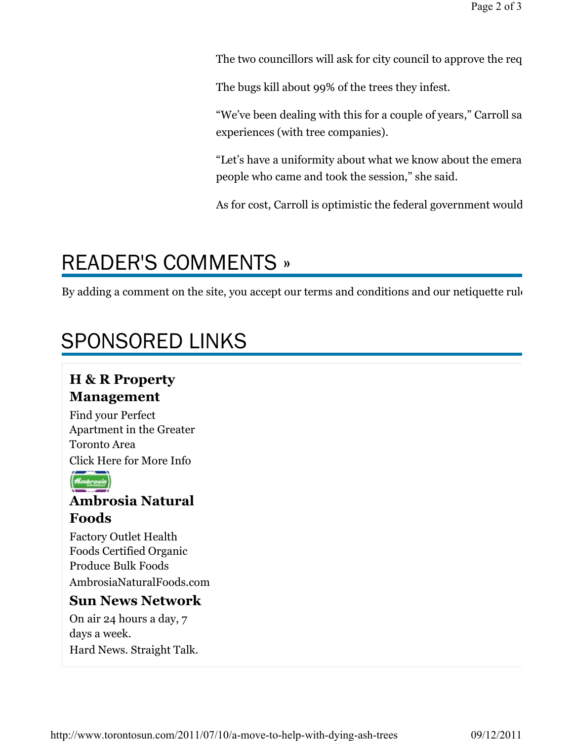The two councillors will ask for city council to approve the request at the state.

The bugs kill about 99% of the trees they infest.

"We've been dealing with this for a couple of years," Carroll sa experiences (with tree companies).

"Let's have a uniformity about what we know about the emeral people who came and took the session," she said.

As for cost, Carroll is optimistic the federal government would

## READER'S COMMENTS »

By adding a comment on the site, you accept our terms and conditions and our netiquette rule

### SPONSORED LINKS

### H & R Property Management

Find your Perfect Apartment in the Greater Toronto Area Click Here for More Info



### Ambrosia Natural Foods

Factory Outlet Health Foods Certified Organic Produce Bulk Foods AmbrosiaNaturalFoods.com

#### Sun News Network

On air 24 hours a day, 7 days a week.

Hard News. Straight Talk.